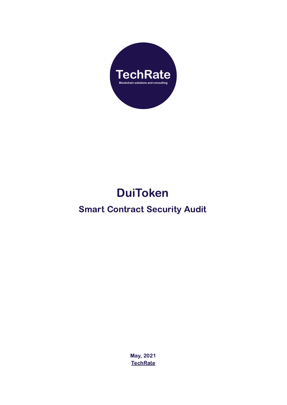

# DuiToken

### Smart Contract Security Audi[t](https://twitter.com/BitennyOfficial)

May, 2021 **[TechRate](https://techrate.org)**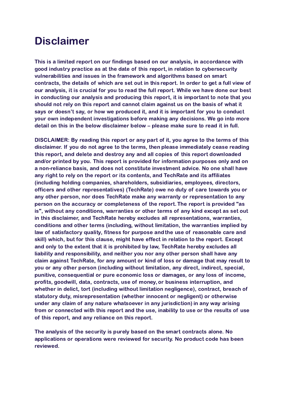### Disclaimer

This is a limited report on our findings based on our analysis, in accordance with good industry practice as at the date of this report, in relation to cybersecurity vulnerabilities and issues in the framework and algorithms based on smart contracts, the details of which are set out in this report. In order to get a full view of our analysis, it is crucial for you to read the full report. While we have done our best in conducting our analysis and producing this report, it is important to note that you should not rely on this report and cannot claim against us on the basis of what it says or doesn't say, or how we produced it, and it is important for you to conduct your own independent investigations before making any decisions. We go into more detail on this in the below disclaimer below – please make sure to read it in full.

DISCLAIMER: By reading this report or any part of it, you agree to the terms of this disclaimer. If you do not agree to the terms, then please immediately cease reading this report, and delete and destroy any and all copies of this report downloaded and/or printed by you. This report is provided for information purposes only and on a non-reliance basis, and does not constitute investment advice. No one shall have any right to rely on the report or its contents, and TechRate and its affiliates (including holding companies, shareholders, subsidiaries, employees, directors, officers and other representatives) (TechRate) owe no duty of care towards you or any other person, nor does TechRate make any warranty or representation to any person on the accuracy or completeness of the report. The report is provided "as is", without any conditions, warranties or other terms of any kind except as set out in this disclaimer, and TechRate hereby excludes all representations, warranties, conditions and other terms (including, without limitation, the warranties implied by law of satisfactory quality, fitness for purpose and the use of reasonable care and skill) which, but for this clause, might have effect in relation to the report. Except and only to the extent that it is prohibited by law, TechRate hereby excludes all liability and responsibility, and neither you nor any other person shall have any claim against TechRate, for any amount or kind of loss or damage that may result to you or any other person (including without limitation, any direct, indirect, special, punitive, consequential or pure economic loss or damages, or any loss of income, profits, goodwill, data, contracts, use of money, or business interruption, and whether in delict, tort (including without limitation negligence), contract, breach of statutory duty, misrepresentation (whether innocent or negligent) or otherwise under any claim of any nature whatsoever in any jurisdiction) in any way arising from or connected with this report and the use, inability to use or the results of use of this report, and any reliance on this report.

The analysis of the security is purely based on the smart contracts alone. No applications or operations were reviewed for security. No product code has been reviewed.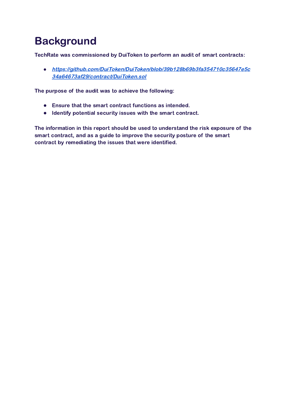## **Background**

TechRate was commissioned by DuiToken to perform an audit of smart contracts:

*●* [https://github.com/DuiToken/DuiToken/blob/39b128b69b3fa354710c35647e5c](https://github.com/DuiToken/DuiToken/blob/39b128b69b3fa354710c35647e5c34a64673af29/contract/DuiToken.sol) [34a64673af29/contract/DuiToken.sol](https://github.com/DuiToken/DuiToken/blob/39b128b69b3fa354710c35647e5c34a64673af29/contract/DuiToken.sol)

The purpose of the audit was to achieve the following:

- Ensure that the smart contract functions as intended.
- Identify potential security issues with the smart contract.

The information in this report should be used to understand the risk exposure of the smart contract, and as a guide to improve the security posture of the smart contract by remediating the issues that were identified.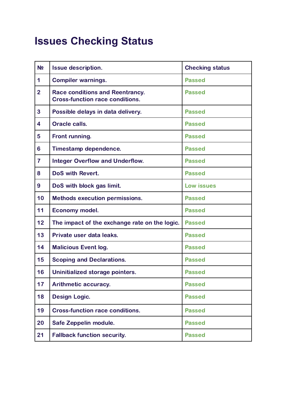# **Issues Checking Status**

| N <sub>2</sub> | <b>Issue description.</b>                                                        | <b>Checking status</b> |
|----------------|----------------------------------------------------------------------------------|------------------------|
| $\mathbf 1$    | <b>Compiler warnings.</b>                                                        | <b>Passed</b>          |
| $\overline{2}$ | <b>Race conditions and Reentrancy.</b><br><b>Cross-function race conditions.</b> | <b>Passed</b>          |
| 3              | Possible delays in data delivery.                                                | <b>Passed</b>          |
| 4              | Oracle calls.                                                                    | <b>Passed</b>          |
| 5              | Front running.                                                                   | <b>Passed</b>          |
| 6              | Timestamp dependence.                                                            | <b>Passed</b>          |
| $\overline{7}$ | <b>Integer Overflow and Underflow.</b>                                           | <b>Passed</b>          |
| 8              | DoS with Revert.                                                                 | <b>Passed</b>          |
| 9              | DoS with block gas limit.                                                        | <b>Low issues</b>      |
| 10             | <b>Methods execution permissions.</b>                                            | <b>Passed</b>          |
| 11             | Economy model.                                                                   | <b>Passed</b>          |
| 12             | The impact of the exchange rate on the logic.                                    | <b>Passed</b>          |
| 13             | Private user data leaks.                                                         | <b>Passed</b>          |
| 14             | <b>Malicious Event log.</b>                                                      | <b>Passed</b>          |
| 15             | <b>Scoping and Declarations.</b>                                                 | <b>Passed</b>          |
| 16             | Uninitialized storage pointers.                                                  | <b>Passed</b>          |
| 17             | Arithmetic accuracy.                                                             | <b>Passed</b>          |
| 18             | <b>Design Logic.</b>                                                             | <b>Passed</b>          |
| 19             | <b>Cross-function race conditions.</b>                                           | <b>Passed</b>          |
| 20             | Safe Zeppelin module.                                                            | <b>Passed</b>          |
| 21             | <b>Fallback function security.</b>                                               | <b>Passed</b>          |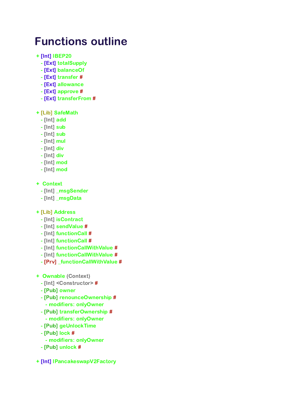## Functions outline

- + [Int] IBEP20
	- [Ext] totalSupply
	- [Ext] balanceOf
	- [Ext] transfer #
	- [Ext] allowance
	- [Ext] approve #
	- [Ext] transferFrom #

#### + [Lib] SafeMath

- [Int] add
- [Int] sub
- [Int] sub
- [Int] mul
- [Int] div
- [Int] div
- [Int] mod
- [Int] mod
- + Context
	- [Int] \_msgSender
	- [Int] \_msgData
- + [Lib] Address
	- [Int] isContract
	- [Int] sendValue #
	- [Int] functionCall #
	- [Int] functionCall #
	- [Int] functionCallWithValue #
	- [Int] functionCallWithValue #
	- [Prv] \_functionCallWithValue #
- + Ownable (Context)
	- [Int] <Constructor> #
	- [Pub] owner
	- [Pub] renounceOwnership #
	- modifiers: onlyOwner
	- [Pub] transferOwnership # - modifiers: onlyOwner
	- [Pub] geUnlockTime
	- [Pub] lock #
		- modifiers: onlyOwner
	- [Pub] unlock #
- + [Int] IPancakeswapV2Factory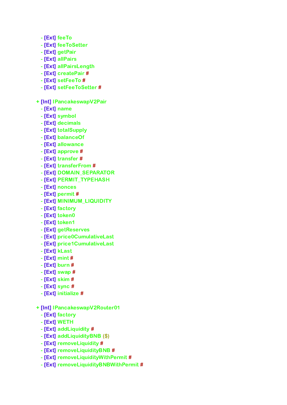- [Ext] feeTo
- [Ext] feeToSetter
- [Ext] getPair
- [Ext] allPairs
- [Ext] allPairsLength
- [Ext] createPair #
- [Ext] setFeeTo #
- [Ext] setFeeToSetter #
- + [Int] IPancakeswapV2Pair
	- [Ext] name
	- [Ext] symbol
	- [Ext] decimals
	- [Ext] totalSupply
	- [Ext] balanceOf
	- [Ext] allowance
	- [Ext] approve #
	- [Ext] transfer #
	- [Ext] transferFrom #
	- [Ext] DOMAIN\_SEPARATOR
	- [Ext] PERMIT\_TYPEHASH
	- [Ext] nonces
	- [Ext] permit #
	- [Ext] MINIMUM\_LIQUIDITY
	- [Ext] factory
	- [Ext] token0
	- [Ext] token1
	- [Ext] getReserves
	- [Ext] price0CumulativeLast
	- [Ext] price1CumulativeLast
	- [Ext] kLast
	- [Ext] mint #
	- [Ext] burn #
	- [Ext] swap #
	- [Ext] skim #
	- [Ext] sync #
	- [Ext] initialize #
- + [Int] IPancakeswapV2Router01
	- [Ext] factory
	- [Ext] WETH
	- [Ext] addLiquidity #
	- [Ext] addLiquidityBNB (\$)
	- [Ext] removeLiquidity #
	- [Ext] removeLiquidityBNB #
	- [Ext] removeLiquidityWithPermit #
	- [Ext] removeLiquidityBNBWithPermit #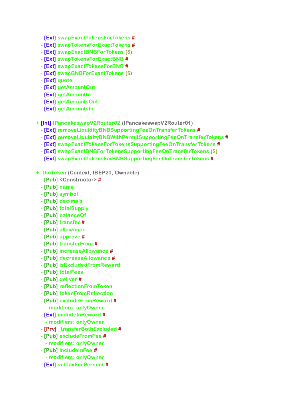- [Ext] swapExactTokensForTokens #
- [Ext] swapTokensForExactTokens #
- [Ext] swapExactBNBForTokens (\$)
- [Ext] swapTokensForExactBNB #
- [Ext] swapExactTokensForBNB #
- [Ext] swapBNBForExactTokens (\$)
- [Ext] quote
- [Ext] getAmountOut
- [Ext] getAmountIn
- [Ext] getAmountsOut
- [Ext] getAmountsIn
- + [Int] IPancakeswapV2Router02 (IPancakeswapV2Router01)
	- [Ext] removeLiquidityBNBSupportingFeeOnTransferTokens #
	- [Ext] removeLiquidityBNBWithPermitSupportingFeeOnTransferTokens #
	- [Ext] swapExactTokensForTokensSupportingFeeOnTransferTokens #
	- [Ext] swapExactBNBForTokensSupportingFeeOnTransferTokens (\$)
	- [Ext] swapExactTokensForBNBSupportingFeeOnTransferTokens #
- + DuiToken (Context, IBEP20, Ownable)
	- [Pub] <Constructor> #
	- [Pub] name
	- [Pub] symbol
	- [Pub] decimals
	- [Pub] totalSupply
	- [Pub] balanceOf
	- [Pub] transfer #
	- [Pub] allowance
	- [Pub] approve #
	- [Pub] transferFrom #
	- [Pub] increaseAllowance #
	- [Pub] decreaseAllowance #
	- [Pub] isExcludedFromReward
	- [Pub] totalFees
	- [Pub] deliver #
	- [Pub] reflectionFromToken
	- [Pub] tokenFromReflection
	- [Pub] excludeFromReward # - modifiers: onlyOwner
	- [Ext] includeInReward # - modifiers: onlyOwner
	- [Prv] \_transferBothExcluded #
	- [Pub] excludeFromFee # - modifiers: onlyOwner
	- [Pub] includeInFee #
	- modifiers: onlyOwner
	- [Ext] setTaxFeePercent #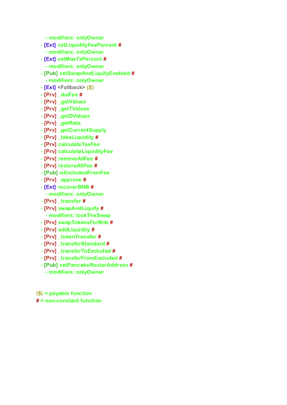- modifiers: onlyOwner

- [Ext] setLiquidityFeePercent #
	- modifiers: onlyOwner
- [Ext] setMaxTxPercent #
- modifiers: onlyOwner
- [Pub] setSwapAndLiquifyEnabled #
- modifiers: onlyOwner
- [Ext] <Fallback> (\$)
- [Prv] \_duiFee #
- [Prv] \_getValues
- [Prv] \_getTValues
- [Prv] \_getDValues
- [Prv] \_getRate
- [Prv] \_getCurrentSupply
- [Prv] \_takeLiquidity #
- [Prv] calculateTaxFee
- [Prv] calculateLiquidityFee
- [Prv] removeAllFee #
- [Prv] restoreAllFee #
- [Pub] isExcludedFromFee
- [Prv] \_approve #
- [Ext] recoverBNB #
- modifiers: onlyOwner
- [Prv] \_transfer #
- [Prv] swapAndLiquify #
- modifiers: lockTheSwap
- [Prv] swapTokensForBnb #
- [Prv] addLiquidity #
- [Prv] \_tokenTransfer #
- [Prv] \_transferStandard #
- [Prv] \_transferToExcluded #
- [Prv] \_transferFromExcluded #
- [Pub] setPancakeRouterAddress #
	- modifiers: onlyOwner
- (\$) = payable function
- $#$  = non-constant function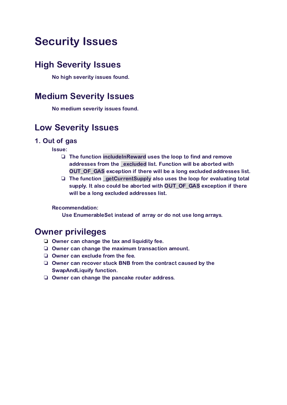## Security Issues

### High Severity Issues

No high severity issues found.

### Medium Severity Issues

No medium severity issues found.

### Low Severity Issues

#### 1. Out of gas

Issue:

- ❏ The function includeInReward uses the loop to find and remove addresses from the excluded list. Function will be aborted with OUT OF GAS exception if there will be a long excluded addresses list.
- ❏ The function \_getCurrentSupply also uses the loop for evaluating total supply. It also could be aborted with OUT\_OF\_GAS exception if there will be a long excluded addresses list.

#### Recommendation:

Use EnumerableSet instead of array or do not use long arrays.

### Owner privileges

- ❏ Owner can change the tax and liquidity fee.
- ❏ Owner can change the maximum transaction amount.
- ❏ Owner can exclude from the fee.
- ❏ Owner can recover stuck BNB from the contract caused by the SwapAndLiquify function.
- ❏ Owner can change the pancake router address.